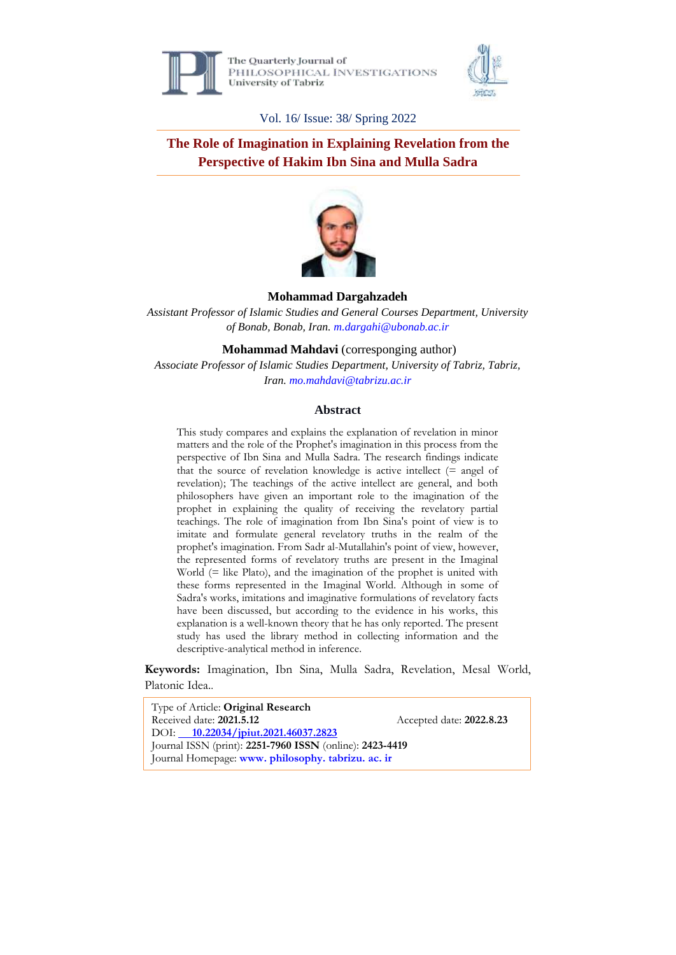

The Ouarterly Journal of PHILOSOPHICAL INVESTIGATIONS University of Tabriz



Vol. 16/ Issue: 38/ Spring 2022

**The Role of Imagination in Explaining Revelation from the Perspective of Hakim Ibn Sina and Mulla Sadra**



#### **Mohammad Dargahzadeh**

*Assistant Professor of Islamic Studies and General Courses Department, University of Bonab, Bonab, Iran. m.dargahi@ubonab.ac.ir*

**Mohammad Mahdavi** (corresponging author)

*Associate Professor of Islamic Studies Department, University of Tabriz, Tabriz, Iran. [mo.mahdavi@tabrizu.ac.ir](mailto:mo.mahdavi@tabrizu.ac.ir)*

#### **Abstract**

This study compares and explains the explanation of revelation in minor matters and the role of the Prophet's imagination in this process from the perspective of Ibn Sina and Mulla Sadra. The research findings indicate that the source of revelation knowledge is active intellect  $(= \text{angle of})$ revelation); The teachings of the active intellect are general, and both philosophers have given an important role to the imagination of the prophet in explaining the quality of receiving the revelatory partial teachings. The role of imagination from Ibn Sina's point of view is to imitate and formulate general revelatory truths in the realm of the prophet's imagination. From Sadr al-Mutallahin's point of view, however, the represented forms of revelatory truths are present in the Imaginal World (= like Plato), and the imagination of the prophet is united with these forms represented in the Imaginal World. Although in some of Sadra's works, imitations and imaginative formulations of revelatory facts have been discussed, but according to the evidence in his works, this explanation is a well-known theory that he has only reported. The present study has used the library method in collecting information and the descriptive-analytical method in inference.

**Keywords:** Imagination, Ibn Sina, Mulla Sadra, Revelation, Mesal World, Platonic Idea..

Type of Article: **Original Research** Received date: 2021.5.12 Accepted date: 2022.8.23 DOI: **10.22034/jpiut.2021.46037.2823** Journal ISSN (print): **2251-7960 ISSN** (online): **2423-4419** Journal Homepage: **[www. philosophy. tabrizu. ac. ir](http://www.philosophy.tabrizu.ac.ir/)**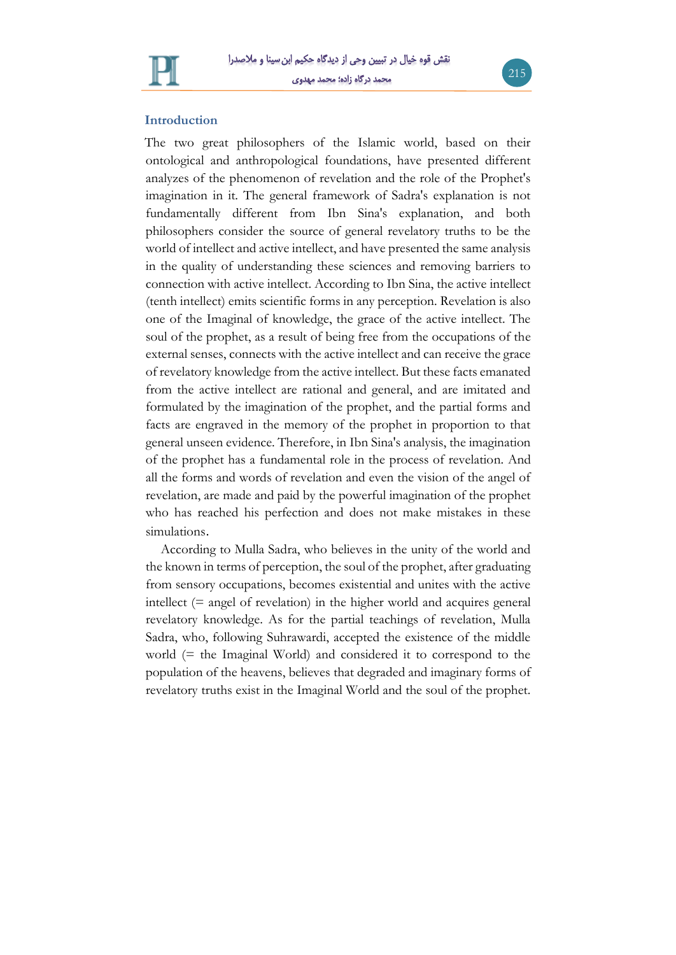

#### **Introduction**

The two great philosophers of the Islamic world, based on their ontological and anthropological foundations, have presented different analyzes of the phenomenon of revelation and the role of the Prophet's imagination in it. The general framework of Sadra's explanation is not fundamentally different from Ibn Sina's explanation, and both philosophers consider the source of general revelatory truths to be the world of intellect and active intellect, and have presented the same analysis in the quality of understanding these sciences and removing barriers to connection with active intellect. According to Ibn Sina, the active intellect (tenth intellect) emits scientific forms in any perception. Revelation is also one of the Imaginal of knowledge, the grace of the active intellect. The soul of the prophet, as a result of being free from the occupations of the external senses, connects with the active intellect and can receive the grace of revelatory knowledge from the active intellect. But these facts emanated from the active intellect are rational and general, and are imitated and formulated by the imagination of the prophet, and the partial forms and facts are engraved in the memory of the prophet in proportion to that general unseen evidence. Therefore, in Ibn Sina's analysis, the imagination of the prophet has a fundamental role in the process of revelation. And all the forms and words of revelation and even the vision of the angel of revelation, are made and paid by the powerful imagination of the prophet who has reached his perfection and does not make mistakes in these simulations.

According to Mulla Sadra, who believes in the unity of the world and the known in terms of perception, the soul of the prophet, after graduating from sensory occupations, becomes existential and unites with the active intellect (= angel of revelation) in the higher world and acquires general revelatory knowledge. As for the partial teachings of revelation, Mulla Sadra, who, following Suhrawardi, accepted the existence of the middle world (= the Imaginal World) and considered it to correspond to the population of the heavens, believes that degraded and imaginary forms of revelatory truths exist in the Imaginal World and the soul of the prophet.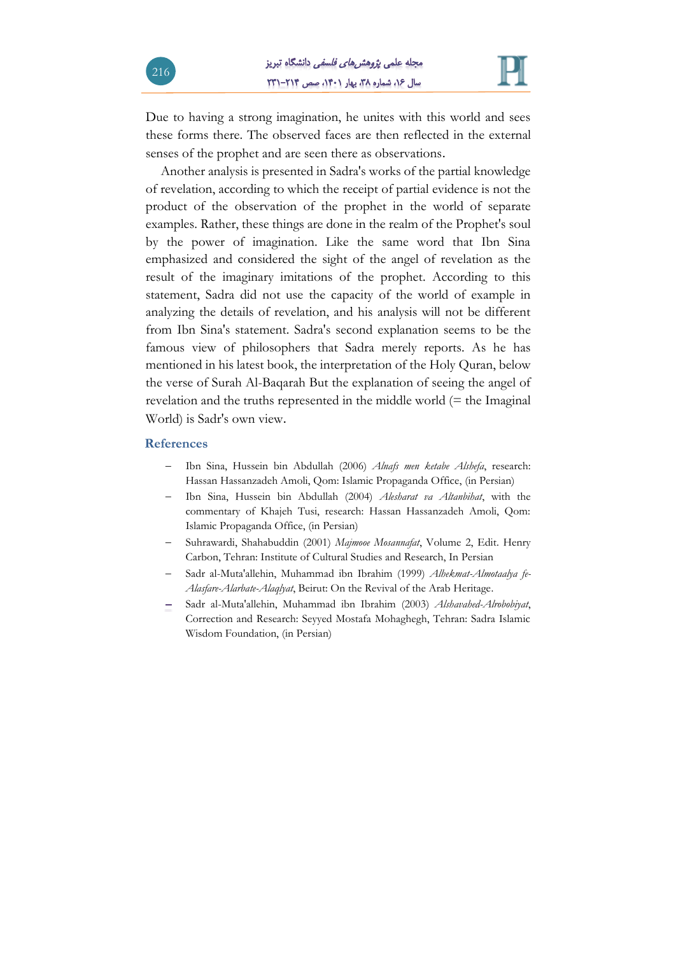

Due to having a strong imagination, he unites with this world and sees these forms there. The observed faces are then reflected in the external senses of the prophet and are seen there as observations.

Another analysis is presented in Sadra's works of the partial knowledge of revelation, according to which the receipt of partial evidence is not the product of the observation of the prophet in the world of separate examples. Rather, these things are done in the realm of the Prophet's soul by the power of imagination. Like the same word that Ibn Sina emphasized and considered the sight of the angel of revelation as the result of the imaginary imitations of the prophet. According to this statement, Sadra did not use the capacity of the world of example in analyzing the details of revelation, and his analysis will not be different from Ibn Sina's statement. Sadra's second explanation seems to be the famous view of philosophers that Sadra merely reports. As he has mentioned in his latest book, the interpretation of the Holy Quran, below the verse of Surah Al-Baqarah But the explanation of seeing the angel of revelation and the truths represented in the middle world (= the Imaginal World) is Sadr's own view.

#### **References**

- Ibn Sina, Hussein bin Abdullah (2006) *Alnafs men ketabe Alshefa*, research: Hassan Hassanzadeh Amoli, Qom: Islamic Propaganda Office, (in Persian)
- Ibn Sina, Hussein bin Abdullah (2004) *Alesharat va Altanbihat*, with the commentary of Khajeh Tusi, research: Hassan Hassanzadeh Amoli, Qom: Islamic Propaganda Office, (in Persian)
- Suhrawardi, Shahabuddin (2001) *Majmooe Mosannafat*, Volume 2, Edit. Henry Carbon, Tehran: Institute of Cultural Studies and Research, In Persian
- Sadr al-Muta'allehin, Muhammad ibn Ibrahim (1999) *Alhekmat-Almotaalya fe-Alasfare-Alarbate-Alaqlyat*, Beirut: On the Revival of the Arab Heritage.
- Sadr al-Muta'allehin, Muhammad ibn Ibrahim (2003) *Alshavahed-Alrobobiyat*, Correction and Research: Seyyed Mostafa Mohaghegh, Tehran: Sadra Islamic Wisdom Foundation, (in Persian)

216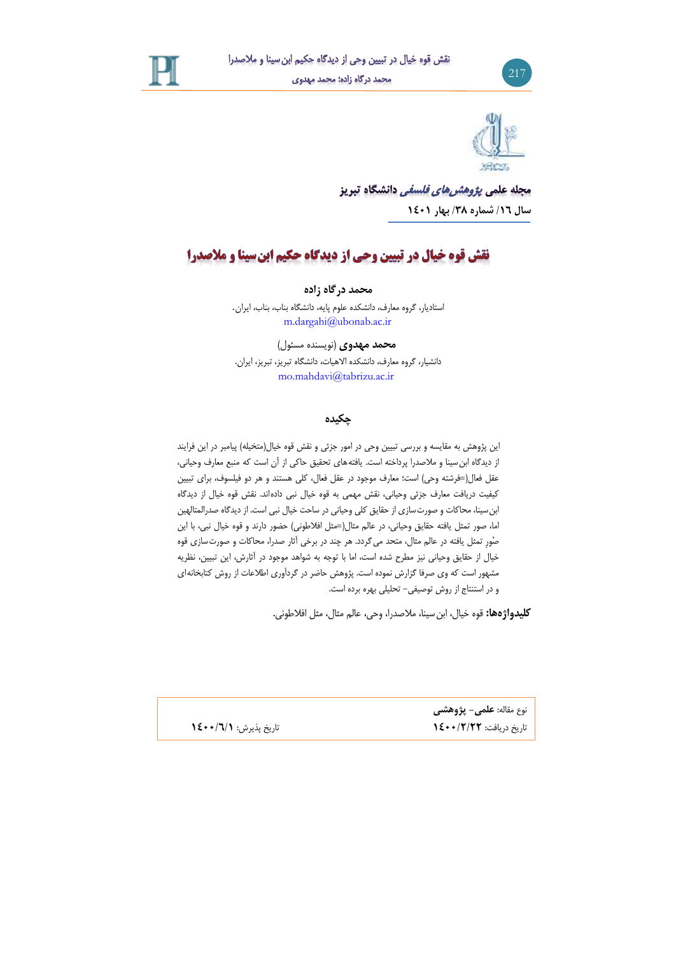





مجله علمی *پژوهشرهای فلسفی* دانشگاه تبریز **سال /1۶ شماره /3۸ بهار 1041**

# نقش قوه خیال در تبیین وحی از دیدگاه حکیم ابن سینا و ملاصدرا

**محمد درگاه زاده**

استادیار، گروه معارف، دانشکده علوم پایه، دانشگاه بناب، بناب، ایران. m.dargahi@ubonab.ac.ir

**محمد مهدوی** )نویسنده مسئول( دانشیار، گروه معارف، دانشکده االهیات، دانشگاه تبریز، تبریز، ایران. mo.mahdavi@tabrizu.ac.ir

### **چکیده**

این پژوهش به مقایسه و بررسی تبیین وحی در امور جزئی و نقش قوه خیال(متخیله) پیامبر در این فرایند از دیدگاه ابنسینا و مالصدرا پرداخته است. یافتههای تحقیق حاکی از آن است که منبع معارف وحیانی، عقل فعال(=فرشته وحی) است؛ معارف موجود در عقل فعال، کلی هستند و هر دو فیلسوف، برای تبیین کیفیت دریافت معارف جزئی وحیانی، نقش مهمی به قوه خیال نبی دادهاند. نقش قوه خیال از دیدگاه ابنسینا، محاکات و صورتسازی از حقایق کلی وحیانی در ساحت خیال نبی است. از دیدگاه صدرالمتالهین اما، صور تمثل یافته حقایق وحیانی، در عالم مثال(=مثل افلاطونی) حضور دارند و قوه خیال نبی، با این صُورِ تمثل یافته در عالم مثال، متحد میگردد. هر چند در برخی آثار صدرا، محاکات و صورتسازی قوه خیال از حقایق وحیانی نیز مطرح شده است، اما با توجه به شواهد موجود در آثارش، این تبیین، نظریه مشهور است که وی صرفا گزارش نموده است. پژوهش حاضر در گردآوری اطالعات از روش کتابخانهای و در استنتاج از روش توصیفی- تحلیلی بهره برده است.

**کلیدواژهها:** قوه خیال، ابنسینا، مالصدرا، وحی، عالم مثال، مثل افالطونی.

نوع مقاله: **علمی- پژوهشی** تاریخ دریافت: **1044/۲/۲۲** تاریخ پذیرش: **1044/۶/1**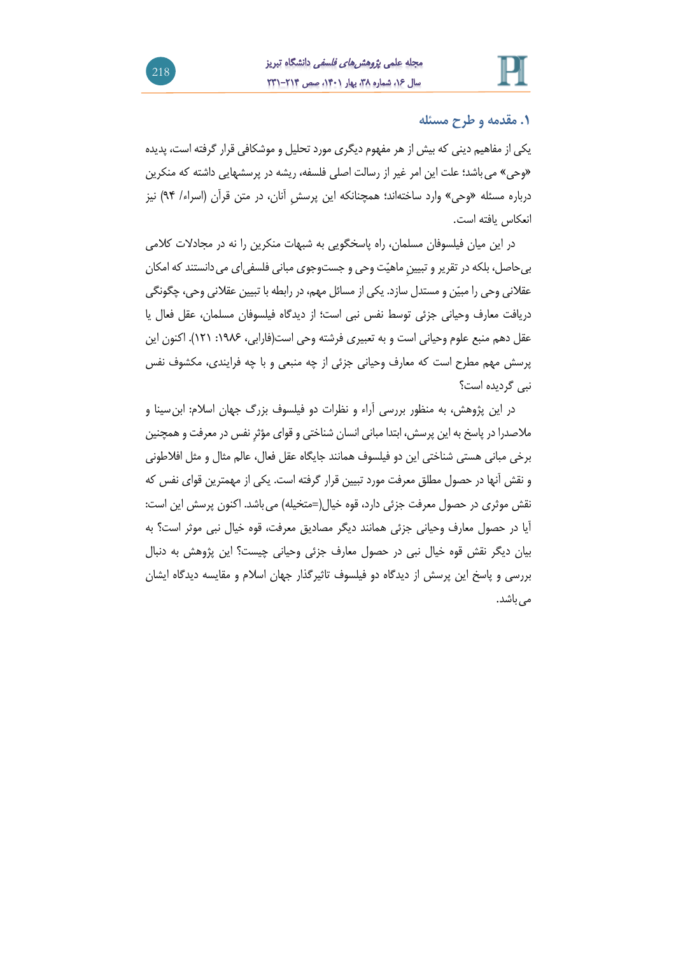

## **.1 مقدمه و طرح مسئله**

یکی از مفاهیم دینی که بیش از هر مفهوم دیگری مورد تحلیل و موشکافی قرار گرفته است، پدیده »وحی« میباشد؛ علت این امر غیر از رسالت اصلی فلسفه، ریشه در پرسشهایی داشته که منکرین درباره مسئله »وحی« وارد ساختهاند؛ همچنانکه این پرسشِ آنان، در متن قرآن )اسراء/ 49( نیز انعکاس یافته است.

در این میان فیلسوفان مسلمان، راه پاسخگویی به شبهات منکرین را نه در مجادالت کالمی بی حاصل، بلکه در تقریر و تبیین ماهیّت وحی و جستوجوی مبانی فلسفی|ی می دانستند که امکان عقالنی وحی را مبیّن و مستدل سازد. یکی از مسائل مهم، در رابطهبا تبیین عقالنی وحی، چگونگی دریافت معارف وحیانی جزئی توسط نفس نبی است؛ از دیدگاه فیلسوفان مسلمان، عقل فعال یا عقل دهم منبع علوم وحیانی است و به تعبیری فرشته وحی است(فارابی، ۱۹۸۶: ۱۲۱). اکنون این پرسش مهم مطرح است که معارف وحیانی جزئی از چه منبعی و با چه فرایندی، مکشوف نفس نبی گردیده است؟

در این پژوهش، به منظور بررسی آراء و نظرات دو فیلسوف بزرگ جهان اسالم: ابنسینا و مالصدرا در پاسخ بهاین پرسش، ابتدا مبانی انسان شناختی و قوای مؤثرِ نفس در معرفت وهمچنین برخی مبانی هستی شناختی این دو فیلسوف همانند جایگاه عقل فعال، عالم مثال و مثل افالطونی و نقش آنها در حصول مطلق معرفت مورد تبیین قرار گرفته است. یکی از مهمترین قوای نفس که نقش موثری در حصول معرفت جزئی دارد، قوه خیال(=متخیله) می باشد. اکنون پرسش این است: آیا در حصول معارف وحیانی جزئی همانند دیگر مصادیق معرفت، قوه خیال نبی موثر است؟ به بیان دیگر نقش قوه خیال نبی در حصول معارف جزئی وحیانی چیست؟ این پژوهش به دنبال بررسی و پاسخ این پرسش از دیدگاه دو فیلسوف تاثیرگذار جهان اسالم و مقایسه دیدگاه ایشان می باشد.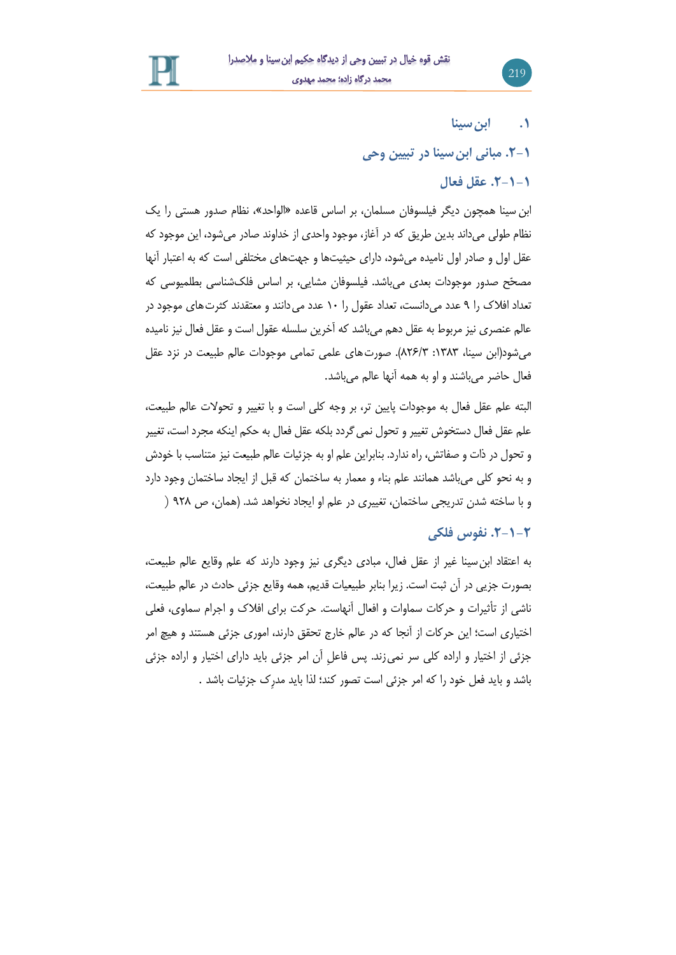

**.1 ابنسینا**

219

**.۲-1 مبانی ابنسینا در تبیین وحی**

## **.۲-1-1 عقل فعال**

ابن سینا همچون دیگر فیلسوفان مسلمان، بر اساس قاعده »الواحد«، نظام صدور هستی را یك نظام طولی میداند بدین طریق که در آغاز، موجود واحدی از خداوند صادر میشود، این موجود که عقل اول و صادر اول نامیده میشود، دارای حیثیتها و جهتهای مختلفی است که به اعتبار آنها مصحّح صدور موجودات بعدی میباشد. فیلسوفان مشایی، بر اساس فلكشناسی بطلمیوسی که تعداد افلاک را ۹ عدد می دانست، تعداد عقول را ۱۰ عدد می دانند و معتقدند کثرت های موجود در عالم عنصری نیز مربوط به عقل دهم میباشد که آخرین سلسله عقول است و عقل فعال نیز نامیده می شود(ابن سینا، ۱۳۸۳: ۸۲۶/۳). صورتهای علمی تمامی موجودات عالم طبیعت در نزد عقل فعال حاضر میباشند و او به همه آنها عالم میباشد.

البته علم عقل فعال به موجودات پایین تر، بر وجه کلی است و با تغییر و تحوالت عالم طبیعت، علم عقل فعال دستخوش تغییر و تحول نمی گردد بلکه عقل فعال به حکم اینکه مجرد است، تغییر و تحول در ذات و صفاتش، راه ندارد. بنابراین علم او به جزئیات عالم طبیعت نیز متناسب با خودش و به نحو کلی میباشد همانند علم بناء و معمار به ساختمان که قبل از ایجاد ساختمان وجود دارد و با ساخته شدن تدریجی ساختمان، تغییری در علم او ایجاد نخواهد شد. )همان، ص 429 (

# **.۲-1-۲ نفوس فلکی**

به اعتقاد ابنسینا غیر از عقل فعال، مبادی دیگری نیز وجود دارند که علم وقایع عالم طبیعت، بصورت جزیی در آن ثبت است. زیرا بنابر طبیعیات قدیم، همه وقایع جزئی حادث در عالم طبیعت، ناشی از تأثیرات و حرکات سماوات و افعال آنهاست. حرکت برای افالك و اجرام سماوی، فعلی اختیاری است؛ این حرکات از آنجا که در عالم خارج تحقق دارند، اموری جزئی هستند و هیچ امر جزئی از اختیار و اراده کلی سر نمیزند. پس فاعلِ آن امر جزئی باید دارای اختیار و اراده جزئی باشد و باید فعل خود را که امر جزئی است تصور کند؛ لذا باید مدرِك جزئیات باشد .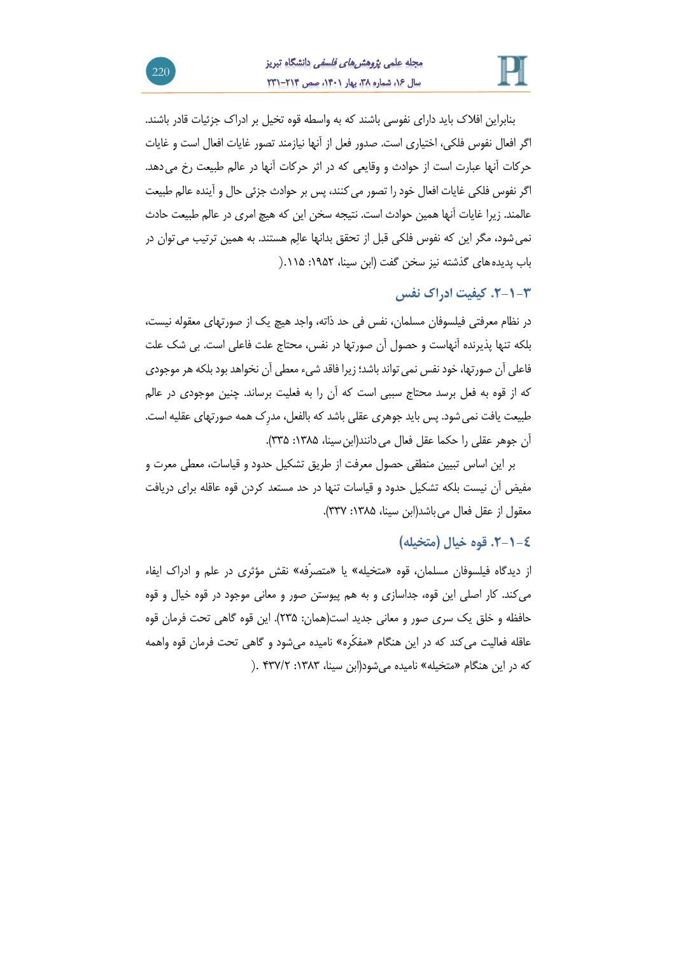

بنابراین افالك باید دارای نفوسی باشند که به واسطه قوه تخیل بر ادراك جزئیات قادر باشند. اگر افعال نفوس فلکی، اختیاری است. صدور فعل از آنها نیازمند تصور غایات افعال است و غایات حرکات آنها عبارت است از حوادث و وقایعی که در اثر حرکات آنها در عالم طبیعت رخ میدهد. اگر نفوس فلکی غایات افعال خود را تصور می کنند، پس بر حوادث جزئی حال و آینده عالم طبیعت عالمند. زیرا غایات آنها همین حوادث است. نتیجه سخن این که هیچ امری در عالم طبیعت حادث نمیشود، مگر این که نفوس فلکی قبل از تحقق بدانها عالِم هستند. به همین ترتیب میتوان در باب پدیدههای گذشته نیز سخن گفت )ابن سینا، :6492 .669(

**.۲-1-3 کیفیت ادراک نفس**

در نظام معرفتی فیلسوفان مسلمان، نفس فی حد ذاته، واجد هیچ یك از صورتهای معقوله نیست، بلکه تنها پذیرنده آنهاست و حصول آن صورتها در نفس، محتاج علت فاعلی است. بی شك علت فاعلی آن صورتها، خود نفس نمی تواند باشد؛ زیرا فاقد شیء معطی آن نخواهد بود بلکه هر موجودی که از قوه به فعل برسد محتاج سببی است که آن را به فعلیت برساند. چنین موجودی در عالم طبیعت یافت نمی شود. پس باید جوهری عقلی باشد که بالفعل، مدرِک همه صورتهای عقلیه است. آن جوهر عقلی را حکما عقل فعال می دانند(ابن سینا، ۱۳۸۵: ۳۳۵).

بر این اساس تبیین منطقی حصول معرفت از طریق تشکیل حدود و قیاسات، معطی معرت و مفیض آن نیست بلکه تشکیل حدود و قیاسات تنها در حد مستعد کردن قوه عاقله برای دریافت معقول از عقل فعال می باشد(ابن سینا، ۱۳۸۵: ۳۳۷).

# **.۲-1-0 قوه خیال )متخیله(**

از دیدگاه فیلسوفان مسلمان، قوه »متخیله« یا »متصرّفه« نقش مؤثری در علم و ادراك ایفاء میکند. کار اصلی این قوه، جداسازی و به هم پیوستن صور و معانی موجود در قوه خیال و قوه حافظه و خلق یك سری صور و معانی جدید است)همان: 219(. این قوه گاهی تحت فرمان قوه عاقله فعالیت میکند که در این هنگام »مفکّره« نامیده میشود و گاهی تحت فرمان قوه واهمه که در این هنگام »متخیله« نامیده میشود)ابن سینا، :6191 913/2 .(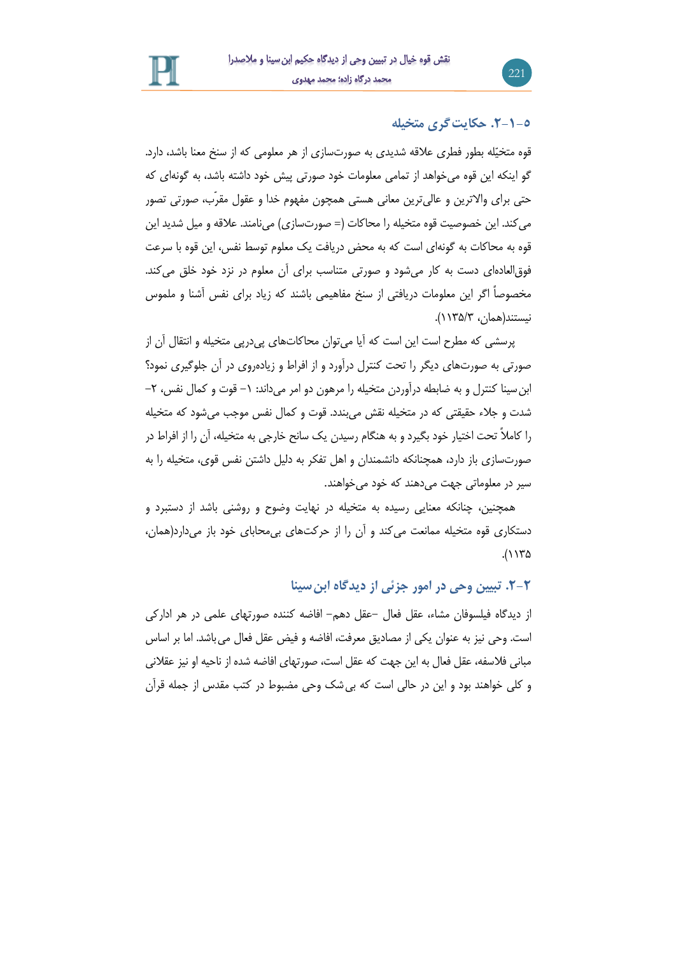# **.۲-1-5 حکایتگری متخیله**

221

قوه متخیّله بطور فطری عالقه شدیدی به صورتسازی از هر معلومی که از سنخ معنا باشد، دارد. گو اینکه این قوه میخواهد از تمامی معلومات خود صورتی پیش خود داشته باشد، به گونهای که حتی برای واالترین و عالیترین معانی هستی همچون مفهوم خدا و عقول مقرّب، صورتی تصور می کند. این خصوصیت قوه متخیله را محاکات (= صورتسازی) میiامند. علاقه و میل شدید این قوه به محاکات به گونهای است که به محض دریافت یك معلوم توسط نفس، این قوه با سرعت فوقالعادهای دست به کار میشود و صورتی متناسب برای آن معلوم در نزد خود خلق میکند. مخصوصاً اگر این معلومات دریافتی از سنخ مفاهیمی باشند که زیاد برای نفس آشنا و ملموس نیستند)همان، 6619/1(.

پرسشی که مطرح است این است که آیا میتوان محاکاتهای پیدرپی متخیله و انتقال آن از صورتی به صورتهای دیگر را تحت کنترل درآورد و از افراط و زیادهروی در آن جلوگیری نمود؟ ابن سینا کنترل و به ضابطه درآوردن متخیله را مرهون دو امر میداند: ۱– قوت و کمال نفس، ۲– شدت و جالء حقیقتی که در متخیله نقش میبندد. قوت و کمال نفس موجب میشود که متخیله را کامالً تحت اختیار خود بگیرد و به هنگام رسیدن یك سانح خارجی به متخیله، آن را از افراط در صورتسازی باز دارد، همچنانکه دانشمندان و اهل تفکر به دلیل داشتن نفس قوی، متخیله را به سیر در معلوماتی جهت میدهند که خود میخواهند.

همچنین، چنانکه معنایی رسیده به متخیله در نهایت وضوح و روشنی باشد از دستبرد و دستکاری قوه متخیله ممانعت میکند و آن را از حرکتهای بیمحابای خود باز میدارد)همان،  $.(\rangle$ 

### **.۲-۲ تبیین وحی در امور جزئی از دیدگاه ابنسینا**

از دیدگاه فیلسوفان مشاء، عقل فعال -عقل دهم- افاضه کننده صورتهای علمی در هر ادارکی است. وحی نیز به عنوان یکی از مصادیق معرفت، افاضه و فیض عقل فعال میباشد. اما بر اساس مبانی فالسفه، عقل فعال به این جهت که عقل است، صورتهای افاضه شده از ناحیه او نیز عقالنی و کلی خواهند بود و این در حالی است که بیشك وحی مضبوط در کتب مقدس از جمله قرآن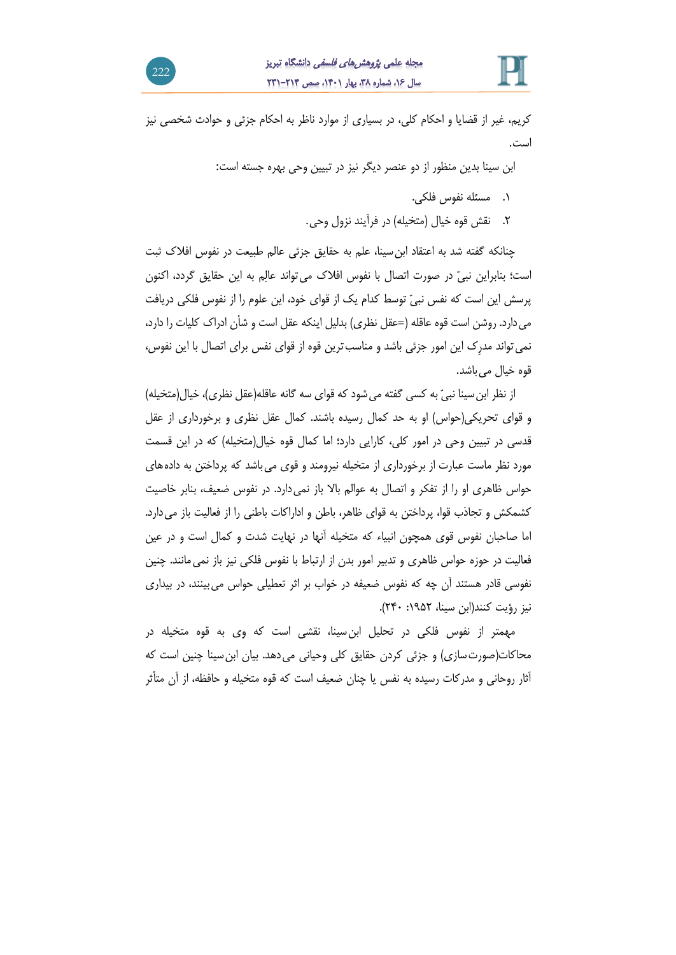

کریم، غیر از قضایا و احکام کلی، در بسیاری از موارد ناظر به احکام جزئی و حوادث شخصی نیز است.

ابن سینا بدین منظور از دو عنصر دیگر نیز در تبیین وحی بهره جسته است:

- .6 مسئله نفوس فلکی.
- .2 نقش قوه خیال )متخیله( در فرآیند نزول وحی.

چنانکه گفته شد به اعتقاد ابنسینا، علم به حقایق جزئی عالم طبیعت در نفوس افالك ثبت است؛ بنابراین نبیّ در صورت اتصال با نفوس افالك میتواند عالِم به این حقایق گردد، اکنون پرسش این است که نفس نبیّ توسط کدام یك از قوای خود، این علوم را از نفوس فلکی دریافت می دارد. روشن است قوه عاقله (=عقل نظری) بدلیل اینکه عقل است و شأن ادراک کلیات را دارد، نمیتواند مدرِك این امور جزئی باشد و مناسبترین قوه از قوای نفس برای اتصال با این نفوس، قوه خیال می باشد.

از نظر ابن سینا نبیّ به کسی گفته می شود که قوای سه گانه عاقله(عقل نظری)، خیال(متخیله) و قوای تحریکی)حواس( او به حد کمال رسیده باشند. کمال عقل نظری و برخورداری از عقل قدسی در تبیین وحی در امور کلی، کارایی دارد؛ اما کمال قوه خیال(متخیله) که در این قسمت مورد نظر ماست عبارت از برخورداری از متخیله نیرومند و قوی میباشد که پرداختن به دادههای حواس ظاهری او را از تفکر و اتصال به عوالم باال باز نمیدارد. در نفوس ضعیف، بنابر خاصیت کشمکش و تجاذب قوا، پرداختن به قوای ظاهر، باطن و اداراکات باطنی را از فعالیت باز میدارد. اما صاحبان نفوس قوی همچون انبیاء که متخیله آنها در نهایت شدت و کمال است و در عین فعالیت در حوزه حواس ظاهری و تدبیر امور بدن از ارتباط با نفوس فلکی نیز باز نمیمانند. چنین نفوسی قادر هستند آن چه که نفوس ضعیفه در خواب بر اثر تعطیلی حواس میبینند، در بیداری نیز رؤیت کنند(ابن سینا، ۱۹۵۲: ۲۴۰).

مهمتر از نفوس فلکی در تحلیل ابنسینا، نقشی است که وی به قوه متخیله در محاکات(صورت سازی) و جزئی کردن حقایق کلی وحیانی میدهد. بیان ابن سینا چنین است که آثار روحانی و مدرکات رسیده به نفس یا چنان ضعیف است که قوه متخیله و حافظه، از آن متأثر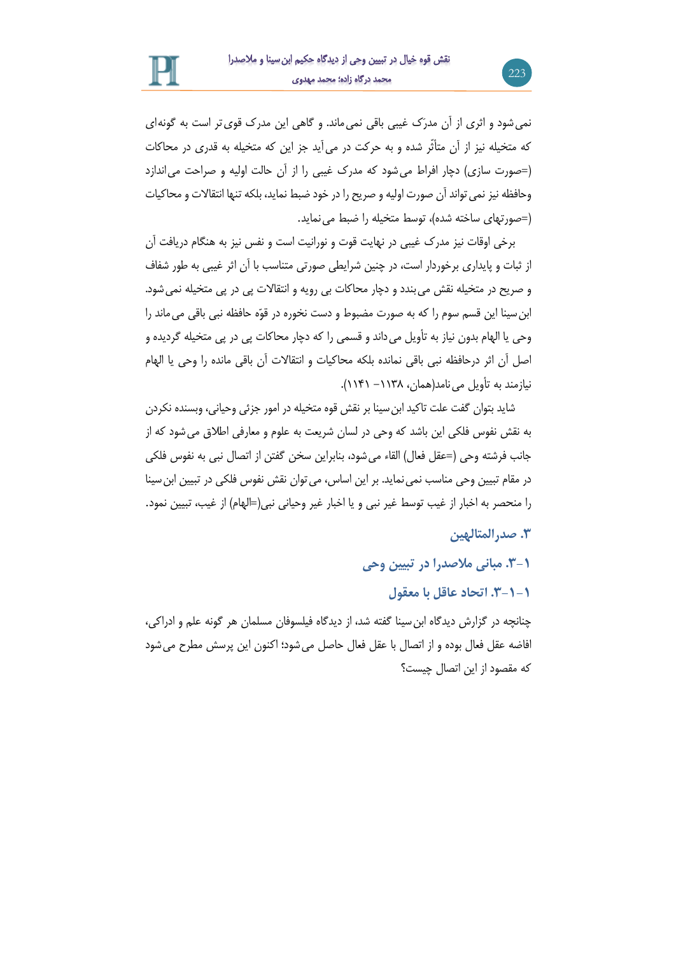نمیشود و اثری از آن مدرَك غیبی باقی نمیماند. و گاهی این مدرك قویتر است به گونهای که متخیله نیز از آن متأثّر شده و به حرکت در میآید جز این که متخیله به قدری در محاکات )=صورت سازی( دچار افراط میشود که مدرك غیبی را از آن حالت اولیه و صراحت میاندازد وحافظه نیز نمی تواند آن صورت اولیه و صریح را در خود ضبط نماید، بلکه تنها انتقالات و محاکیات )=صورتهای ساخته شده(، توسط متخیله را ضبط مینماید.

برخی اوقات نیز مدرك غیبی در نهایت قوت و نورانیت است و نفس نیز به هنگام دریافت آن از ثبات و پایداری برخوردار است، در چنین شرایطی صورتی متناسب با آن اثر غیبی به طور شفاف و صریح در متخیله نقش میبندد و دچار محاکات بی رویه و انتقاالت پی در پی متخیله نمیشود. ابنسینا این قسم سوم را که به صورت مضبوط و دست نخوره در قوّه حافظه نبی باقی میماند را وحی یا الهام بدون نیاز به تأویل میداند و قسمی را که دچار محاکات پی در پی متخیله گردیده و اصل آن اثر درحافظه نبی باقی نمانده بلکه محاکیات و انتقاالت آن باقی مانده را وحی یا الهام نیازمند به تأویل می نامد(همان، ۱۱۳۸ – ۱۱۴۱).

شاید بتوان گفت علت تاکید ابنسینا بر نقش قوه متخیله در امور جزئی وحیانی، وبسنده نکردن به نقش نفوس فلکی این باشد که وحی در لسان شریعت به علوم و معارفی اطالق میشود که از جانب فرشته وحی (=عقل فعال) القاء می شود، بنابراین سخن گفتن از اتصال نبی به نفوس فلکی در مقام تبیین وحی مناسب نمی نماید. بر این اساس، می توان نقش نفوس فلکی در تبیین ابن سینا را منحصر به اخبار از غیب توسط غیر نبی و یا اخبار غیر وحیانی نبی(=الهام) از غیب، تبیین نمود.

### **.3 صدرالمتالهین**

223

**.3-1 مبانی مالصدرا در تبیین وحی**

**.3-1-1 اتحاد عاقل با معقول**

چنانچه در گزارش دیدگاه ابنسینا گفته شد، از دیدگاه فیلسوفان مسلمان هر گونه علم و ادراکی، افاضه عقل فعال بوده و از اتصال با عقل فعال حاصل میشود؛ اکنون این پرسش مطرح میشود که مقصود از این اتصال چیست؟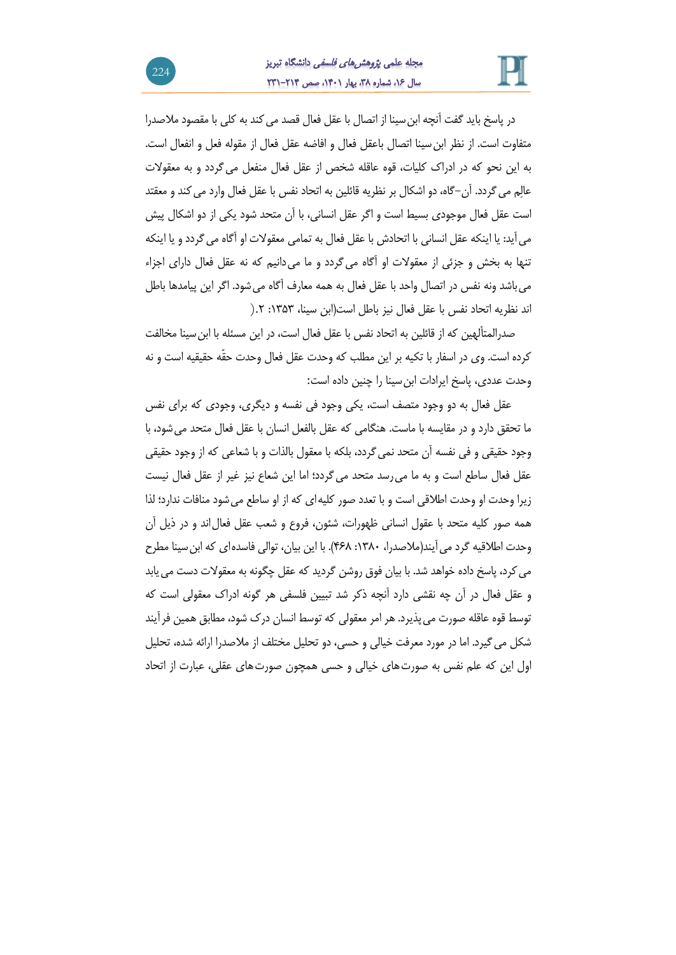

در پاسخ باید گفت آنچه ابن سینا از اتصال با عقل فعال قصد می کند به کلی با مقصود ملاصدرا متفاوت است. از نظر ابنسینا اتصال باعقل فعال و افاضه عقل فعال از مقوله فعل و انفعال است. به این نحو که در ادراك کلیات، قوه عاقله شخص از عقل فعال منفعل میگردد و به معقوالت عالِم میگردد. آن-گاه، دو اشکال بر نظریه قائلین به اتحاد نفس با عقل فعال وارد میکند و معقتد است عقل فعال موجودی بسیط است و اگر عقل انسانی، با آن متحد شود یکی از دو اشکال پیش میآید: یا اینکه عقل انسانی با اتحادش با عقل فعال به تمامی معقوالت او آگاه میگردد و یا اینکه تنها به بخش و جزئی از معقوالت او آگاه میگردد و ما میدانیم که نه عقل فعال دارای اجزاء میباشد ونه نفس در اتصال واحد با عقل فعال به همه معارف آگاه میشود. اگر این پیامدها باطل اند نظریه اتحاد نفس با عقل فعال نیز باطل است)ابن سینا، :6191 .2(

صدرالمتألهین که از قائلین به اتحاد نفس با عقل فعال است، در این مسئله با ابنسینا مخالفت کرده است. وی در اسفار با تکیه بر این مطلب که وحدت عقل فعال وحدت حقّه حقیقیه است و نه وحدت عددی، پاسخ ایرادات ابنسینا را چنین داده است:

عقل فعال به دو وجود متصف است، یکی وجود فی نفسه و دیگری، وجودی که برای نفس ما تحقق دارد و در مقایسه با ماست. هنگامی که عقل بالفعل انسان با عقل فعال متحد میشود، با وجود حقیقی و فی نفسه آن متحد نمیگردد، بلکه با معقول بالذات و با شعاعی که از وجود حقیقی عقل فعال ساطع است و به ما میرسد متحد میگردد؛ اما این شعاع نیز غیر از عقل فعال نیست زیرا وحدت او وحدت اطالقی است و با تعدد صور کلیهای که از او ساطع میشود منافات ندارد؛ لذا همه صور کلیه متحد با عقول انسانی ظهورات، شئون، فروع و شعب عقل فعالاند و در ذیل آن وحدت اطالقیه گرد میآیند)مالصدرا، :6191 919(. با این بیان، توالی فاسدهای که ابنسینا مطرح می کرد، پاسخ داده خواهد شد. با بیان فوق روشن گردید که عقل چگونه به معقولات دست می یابد و عقل فعال در آن چه نقشی دارد آنچه ذکر شد تبیین فلسفی هر گونه ادراك معقولی است که توسط قوه عاقله صورت میپذیرد. هر امر معقولی که توسط انسان درك شود، مطابق همین فرآیند شکل میگیرد. اما در مورد معرفت خیالی و حسی، دو تحلیل مختلف از مالصدرا ارائه شده، تحلیل اول این که علم نفس به صورتهای خیالی و حسی همچون صورتهای عقلی، عبارت از اتحاد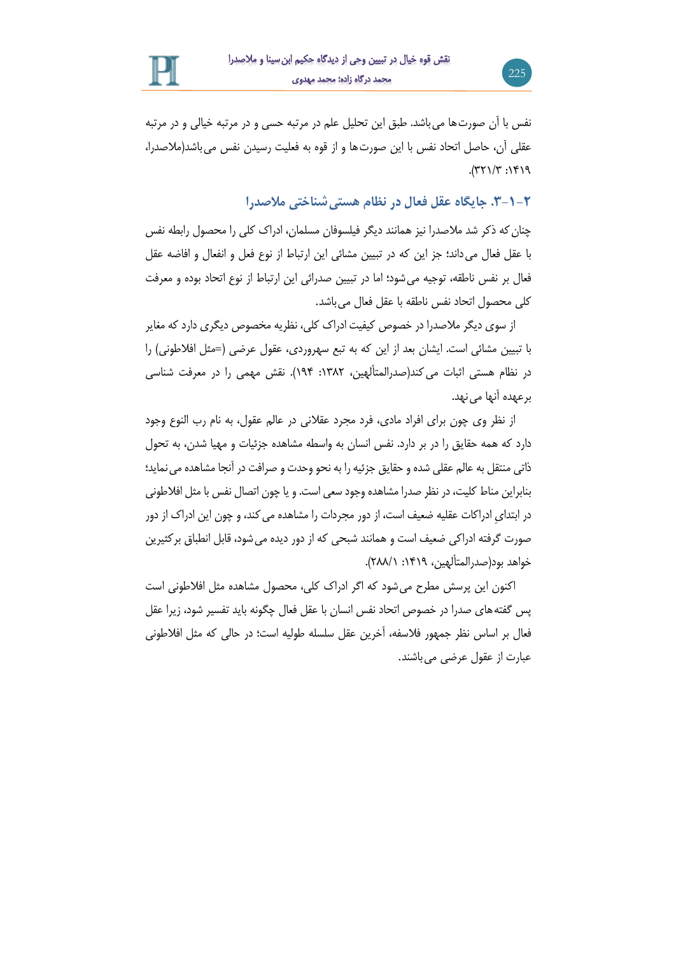

نفس با آن صورتها میباشد. طبق این تحلیل علم در مرتبه حسی و در مرتبه خیالی و در مرتبه عقلی آن، حاصل اتحاد نفس با این صورتها و از قوه به فعلیت رسیدن نفس میباشد)مالصدرا،  $P(71)'$  : 14/77).

**.3-1-۲ جایگاه عقل فعال در نظام هستیشناختی مالصدرا**

225

چنانکه ذکر شد مالصدرا نیز همانند دیگر فیلسوفان مسلمان، ادراك کلی را محصول رابطه نفس با عقل فعال میداند؛ جز این که در تبیین مشائی این ارتباط از نوع فعل و انفعال و افاضه عقل فعال بر نفس ناطقه، توجیه میشود؛ اما در تبیین صدرائی این ارتباط از نوع اتحاد بوده و معرفت کلی محصول اتحاد نفس ناطقه با عقل فعال میباشد.

از سوی دیگر مالصدرا در خصوص کیفیت ادراك کلی، نظریه مخصوص دیگری دارد که مغایر با تبیین مشائی است. ایشان بعد از این که به تبع سهروردی، عقول عرضی )=مثل افالطونی( را در نظام هستی اثبات می کند(صدرالمتألهین، ۱۳۸۲: ۱۹۴). نقش مهمی را در معرفت شناسی برعهده آنها می نهد.

از نظر وی چون برای افراد مادی، فرد مجرد عقالنی در عالم عقول، به نام رب النوع وجود دارد که همه حقایق را در بر دارد. نفس انسان به واسطه مشاهده جزئیات و مهیا شدن، به تحول ذاتی منتقل به عالم عقلی شده و حقایق جزئیه را به نحو وحدت و صرافت در آنجا مشاهده می نماید؛ بنابراین مناط کلیت، در نظر صدرا مشاهده وجود سعی است. و یا چون اتصال نفس با مثل افالطونی در ابتدایِ ادراکات عقلیه ضعیف است، از دور مجردات را مشاهده میکند، و چون این ادراك از دور صورت گرفته ادراکی ضعیف است و همانند شبحی که از دور دیده میشود، قابل انطباق برکثیرین خواهد بود(صدرالمتألهین، ۱۴۱۹: ۲۸۸/۱).

اکنون این پرسش مطرح میشود که اگر ادراك کلی، محصول مشاهده مثل افالطونی است پس گفتههای صدرا در خصوص اتحاد نفس انسان با عقل فعال چگونه باید تفسیر شود، زیرا عقل فعال بر اساس نظر جمهور فالسفه، آخرین عقل سلسله طولیه است؛ در حالی که مثل افالطونی عبارت از عقول عرضی میباشند.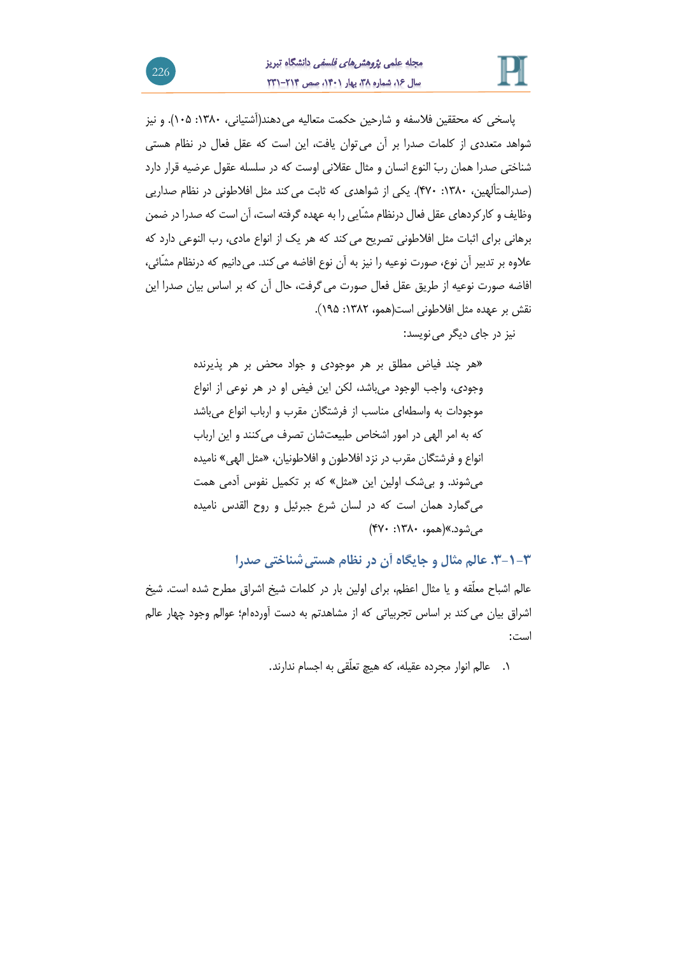

پاسخی که محققین فالسفه و شارحین حکمت متعالیه میدهند)آشتیانی، :6191 619(. و نیز شواهد متعددی از کلمات صدرا بر آن میتوان یافت، این است که عقل فعال در نظام هستی شناختی صدرا همان ربّ النوع انسان و مثال عقالنی اوست که در سلسله عقول عرضیه قرار دارد )صدرالمتألهین، :6191 931(. یکی از شواهدی که ثابت میکند مثل افالطونی در نظام صداریی وظایف و کارکردهای عقل فعال درنظام مشّایی را به عهده گرفته است، آن است که صدرا در ضمن برهانی برای اثبات مثل افالطونی تصریح میکند که هر یك از انواع مادی، رب النوعی دارد که علاوه بر تدبیر آن نوع، صورت نوعیه را نیز به آن نوع افاضه می کند. می دانیم که درنظام مشّائی، افاضه صورت نوعیه از طریق عقل فعال صورت میگرفت، حال آن که بر اساس بیان صدرا این نقش بر عهده مثل افالطونی است)همو، :6192 649).

نیز در جای دیگر می نویسد:

»هر چند فیاض مطلق بر هر موجودی و جواد محض بر هر پذیرنده وجودی، واجب الوجود میباشد، لکن این فیض او در هر نوعی از انواع موجودات به واسطهای مناسب از فرشتگان مقرب و ارباب انواع میباشد که به امر الهی در امور اشخاص طبیعتشان تصرف میکنند و این ارباب انواع و فرشتگان مقرب در نزد افالطون و افالطونیان، »مثل الهی« نامیده میشوند. و بیشك اولین این »مثل« که بر تکمیل نفوس آدمی همت میگمارد همان است که در لسان شرع جبرئیل و روح القدس نامیده میشود.«)همو، :6191 931(

**.3-1-3 عالم مثال و جایگاه آن در نظام هستیشناختی صدرا**

عالم اشباح معلّقه و یا مثال اعظم، برای اولین بار در کلمات شیخ اشراق مطرح شده است. شیخ اشراق بیان میکند بر اساس تجربیاتی که از مشاهدتم به دست آوردهام؛ عوالم وجود چهار عالم است:

.6 عالم انوار مجرده عقیله، که هیچ تعلّقی به اجسام ندارند.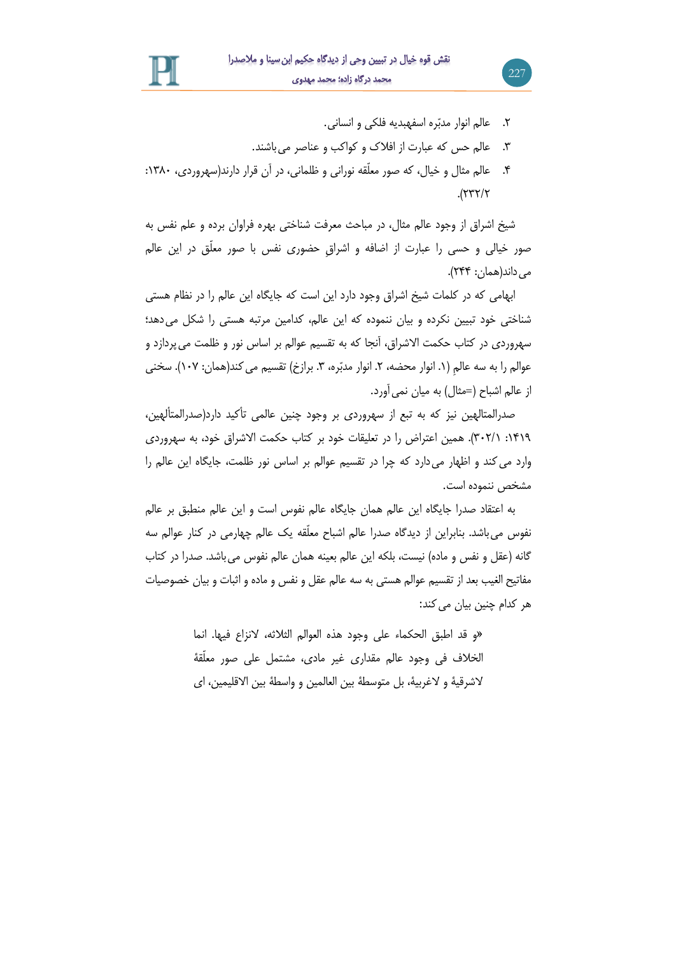.2 عالم انوار مدبّره اسفهبدیه فلکی و انسانی.

227

- .1 عالم حس که عبارت از افالك و کواکب و عناصر میباشند.
- .9 عالم مثال و خیال، که صور معلّقه نورانی و ظلمانی، در آن قرار دارند)سهروردی، :6191  $.$  $(777/7)$

شیخ اشراق از وجود عالم مثال، در مباحث معرفت شناختی بهره فراوان برده و علم نفس به صور خیالی و حسی را عبارت از اضافه و اشراقِ حضوری نفس با صور معلّق در این عالم می داند(همان: ۲۴۴).

ابهامی که در کلمات شیخ اشراق وجود دارد این است که جایگاه این عالم را در نظام هستی شناختی خود تبیین نکرده و بیان ننموده که این عالم، کدامین مرتبه هستی را شکل می دهد؛ سهروردی در کتاب حکمت االشراق، آنجا که به تقسیم عوالم بر اساس نور و ظلمت میپردازد و عوالمِ را به سه عالمِ (١. انوار محضه، ٢. انوار مدبّره، ٣. برازخ) تقسیم می کند(همان: ١٠٧). سخنی از عالم اشباح (=مثال) به میان نمی آورد.

صدرالمتالهین نیز که به تبع از سهروردی بر وجود چنین عالمی تأکید دارد)صدرالمتألهین، :6964 112/6(. همین اعتراض را در تعلیقات خود بر کتاب حکمت االشراق خود، به سهروردی وارد میکند و اظهار میدارد که چرا در تقسیم عوالم بر اساس نور ظلمت، جایگاه این عالم را مشخص ننموده است.

به اعتقاد صدرا جایگاه این عالم همان جایگاه عالم نفوس است و این عالم منطبق بر عالم نفوس میباشد. بنابراین از دیدگاه صدرا عالم اشباح معلّقه یك عالم چهارمی در کنار عوالم سه گانه (عقل و نفس و ماده) نیست، بلکه این عالم بعینه همان عالم نفوس می باشد. صدرا در کتاب مفاتیح الغیب بعد از تقسیم عوالم هستی به سه عالم عقل و نفس و ماده و اثبات و بیان خصوصیات هر کدام چنین بیان می کند:

> »و قد اطبق الحکماء علی وجود هذه العوالم الثالثه، النزاع فیها. انما الخالف فی وجود عالم مقداری غیر مادی، مشتمل علی صور معلّقة الشرقیة و الغربیة، بل متوسطة بین العالمین و واسطة بین االقلیمین، ای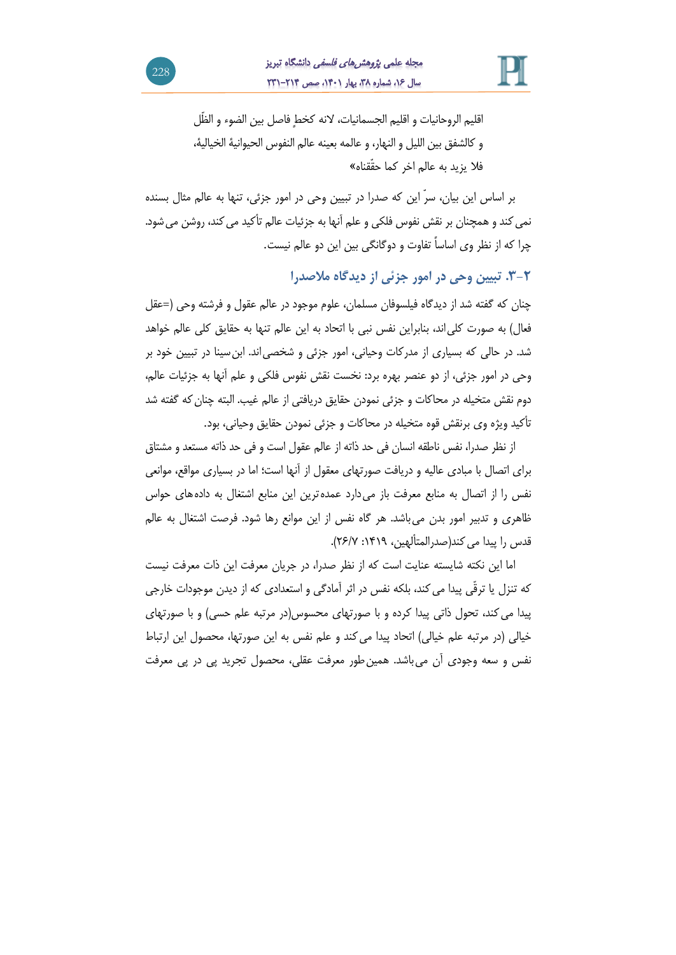

اقلیم الروحانیات و اقلیم الجسمانیات، النه کخطٍ فاصل بین الضوء و الظّل و کالشفق بین اللیل و النهار، و عالمه بعینه عالم النفوس الحیوانیة الخیالیة، فال یزید به عالم اخر کما حقّقناه«

بر اساس این بیان، سرّ این که صدرا در تبیین وحی در امور جزئی، تنها به عالم مثال بسنده نمی کند و همچنان بر نقش نفوس فلکی و علم آنها به جزئیات عالم تأکید می کند، روشن می شود. چرا که از نظر وی اساساً تفاوت و دوگانگی بین این دو عالم نیست.

**.3-۲ تبیین وحی در امور جزئی از دیدگاه مالصدرا**

چنان که گفته شد از دیدگاه فیلسوفان مسلمان، علوم موجود در عالم عقول و فرشته وحی )=عقل فعال) به صورت کلی اند، بنابراین نفس نبی با اتحاد به این عالم تنها به حقایق کلی عالم خواهد شد. در حالی که بسیاری از مدرکات وحیانی، امور جزئی و شخصیاند. ابنسینا در تبیین خود بر وحی در امور جزئی، از دو عنصر بهره برد: نخست نقش نفوس فلکی و علم آنها به جزئیات عالم، دوم نقش متخیله در محاکات و جزئی نمودن حقایق دریافتی از عالم غیب. البته چنانکه گفته شد تأکید ویژه وی برنقش قوه متخیله در محاکات و جزئی نمودن حقایق وحیانی، بود.

از نظر صدرا، نفس ناطقه انسان فی حد ذاته از عالم عقول است و فی حد ذاته مستعد و مشتاق برای اتصال با مبادی عالیه و دریافت صورتهای معقول از آنها است؛ اما در بسیاری مواقع، موانعی نفس را از اتصال به منابع معرفت باز می دارد عمده ترین این منابع اشتغال به دادههای حواس ظاهری و تدبیر امور بدن میباشد. هر گاه نفس از این موانع رها شود. فرصت اشتغال به عالم قدس را پیدا می کند(صدرالمتألهین، ۱۴۱۹: ۲۶/۷).

اما این نکته شایسته عنایت است که از نظر صدرا، در جریان معرفت این ذات معرفت نیست که تنزل یا ترقّی پیدا می کند، بلکه نفس در اثر آمادگی و استعدادی که از دیدن موجودات خارجی پیدا می کند، تحول ذاتی پیدا کرده و با صورتهای محسوس(در مرتبه علم حسی) و با صورتهای خیالی (در مرتبه علم خیالی) اتحاد پیدا می کند و علم نفس به این صورتها، محصول این ارتباط نفس و سعه وجودی آن می باشد. همین طور معرفت عقلی، محصول تجرید پی در پی معرفت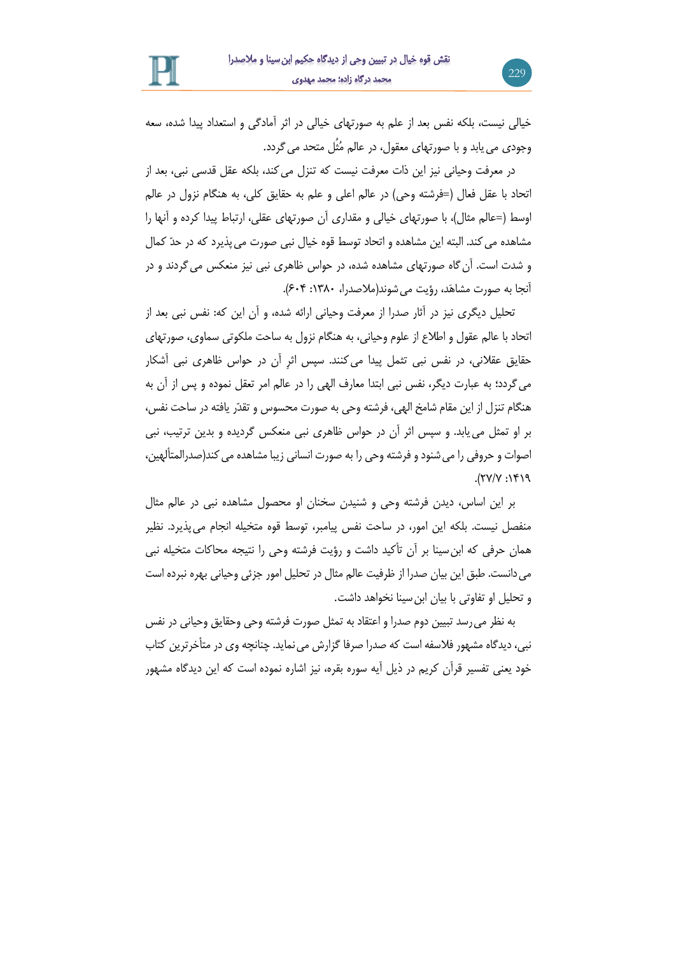خیالی نیست، بلکه نفس بعد از علم به صورتهای خیالی در اثر آمادگی و استعداد پیدا شده، سعه وجودی مییابد و با صورتهای معقول، در عالم مُثُل متحد میگردد.

در معرفت وحیانی نیز این ذات معرفت نیست که تنزل می کند، بلکه عقل قدسی نبی، بعد از اتحاد با عقل فعال )=فرشته وحی( در عالم اعلی و علم به حقایق کلی، به هنگام نزول در عالم اوسط )=عالم مثال(، با صورتهای خیالی و مقداری آن صورتهای عقلی، ارتباط پیدا کرده و آنها را مشاهده میکند. البته این مشاهده و اتحاد توسط قوه خیال نبی صورت میپذیرد که در حدّ کمال و شدت است. آنگاه صورتهای مشاهده شده، در حواس ظاهری نبی نیز منعکس میگردند و در آنجا به صورت مشاهَد، رؤیت می شوند(ملاصدرا، ۱۳۸۰: ۶۰۴).

تحلیل دیگری نیز در آثار صدرا از معرفت وحیانی ارائه شده، و آن این که: نفس نبی بعد از اتحاد با عالم عقول و اطالع از علوم وحیانی، به هنگام نزول به ساحت ملکوتی سماوی، صورتهای حقایق عقالنی، در نفس نبی تثمل پیدا میکنند. سپس اثرِ آن در حواس ظاهری نبی آشکار میگردد؛ به عبارت دیگر، نفس نبی ابتدا معارف الهی را در عالم امر تعقل نموده و پس از آن به هنگام تنزل از این مقام شامخ الهی، فرشته وحی به صورت محسوس و تقدّر یافته در ساحت نفس، بر او تمثل مییابد. و سپس اثر آن در حواس ظاهری نبی منعکس گردیده و بدین ترتیب، نبی اصوات و حروفی را می شنود و فرشته وحی را به صورت انسانی زیبا مشاهده می کند(صدرالمتألهین،  $P(Y|Y;Y|Y)$ 

بر این اساس، دیدن فرشته وحی و شنیدن سخنان او محصول مشاهده نبی در عالم مثال منفصل نیست. بلکه این امور، در ساحت نفس پیامبر، توسط قوه متخیله انجام میپذیرد. نظیر همان حرفی که ابنسینا بر آن تأکید داشت و رؤیت فرشته وحی را نتیجه محاکات متخیله نبی میدانست. طبق این بیان صدرا از ظرفیت عالم مثال در تحلیل امور جزئی وحیانی بهره نبرده است و تحلیل او تفاوتی با بیان ابنسینا نخواهد داشت.

به نظر میرسد تبیین دوم صدرا و اعتقاد به تمثل صورت فرشته وحی وحقایق وحیانی در نفس نبی، دیدگاه مشهور فلاسفه است که صدرا صرفا گزارش می نماید. چنانچه وی در متأخرترین کتاب خود یعنی تفسیر قرآن کریم در ذیل آیه سوره بقره، نیز اشاره نموده است که این دیدگاه مشهور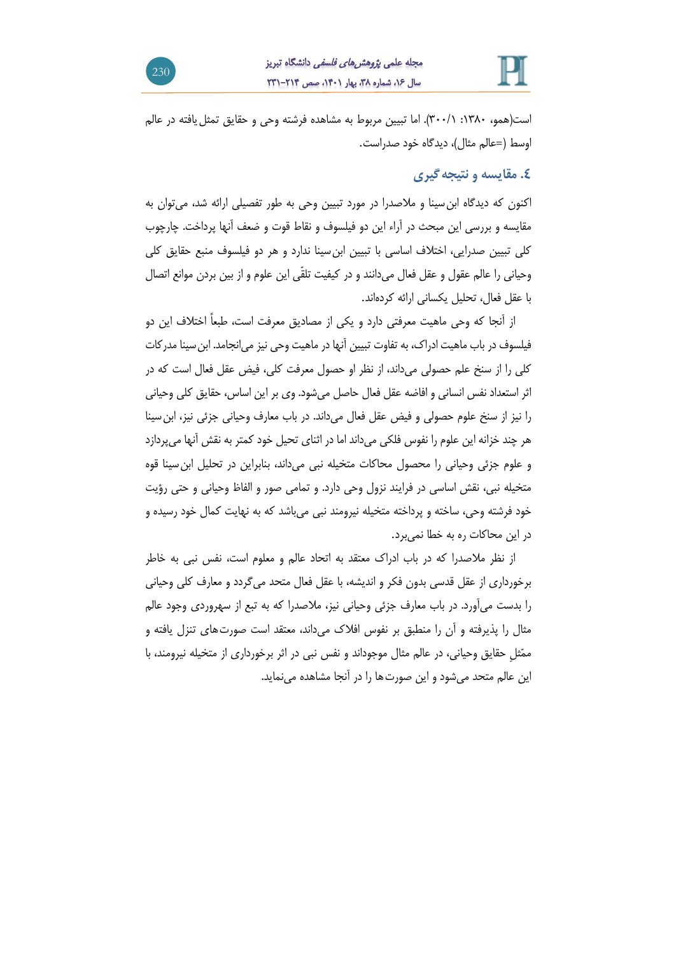

است)همو، :6191 111/6(. اما تبیین مربوط به مشاهده فرشته وحی و حقایق تمثلیافته در عالم اوسط )=عالم مثال(، دیدگاه خود صدراست.

## **.0 مقایسه و نتیجهگیری**

اکنون که دیدگاه ابنسینا و مالصدرا در مورد تبیین وحی به طور تفصیلی ارائه شد، میتوان به مقایسه و بررسی این مبحث در آراء این دو فیلسوف و نقاط قوت و ضعف آنها پرداخت. چارچوب کلی تبیین صدرایی، اختالف اساسی با تبیین ابنسینا ندارد و هر دو فیلسوف منبع حقایق کلی وحیانی را عالم عقول و عقل فعال میدانند و در کیفیت تلقّی این علوم و از بین بردن موانع اتصال با عقل فعال، تحلیل یکسانی ارائه کردهاند.

از آنجا که وحی ماهیت معرفتی دارد و یکی از مصادیق معرفت است، طبعاً اختالف این دو فیلسوف در باب ماهیت ادراك، به تفاوت تبیین آنها در ماهیت وحی نیز میانجامد. ابنسینا مدرکات کلی را از سنخ علم حصولی میداند، از نظر او حصول معرفت کلی، فیض عقل فعال است که در اثر استعداد نفس انسانی و افاضه عقل فعال حاصل میشود. وی بر این اساس، حقایق کلی وحیانی را نیز از سنخ علوم حصولی و فیض عقل فعال میداند. در باب معارف وحیانی جزئی نیز، ابنسینا هر چند خزانه این علوم را نفوس فلکی میداند اما در اثنای تحیل خود کمتر به نقش آنها میپردازد و علوم جزئی وحیانی را محصول محاکات متخیله نبی میداند، بنابراین در تحلیل ابنسینا قوه متخیله نبی، نقش اساسی در فرایند نزول وحی دارد. و تمامی صور و الفاظ وحیانی و حتی رؤیت خود فرشته وحی، ساخته و پرداخته متخیله نیرومند نبی میباشد که به نهایت کمال خود رسیده و در این محاکات ره به خطا نمیبرد.

از نظر مالصدرا که در باب ادراك معتقد به اتحاد عالم و معلوم است، نفس نبی به خاطر برخورداری از عقل قدسی بدون فکر و اندیشه، با عقل فعال متحد میگردد و معارف کلی وحیانی را بدست میآورد. در باب معارف جزئی وحیانی نیز، مالصدرا که به تبع از سهروردی وجود عالم مثال را پذیرفته و آن را منطبق بر نفوس افالك میداند، معتقد است صورتهای تنزل یافته و ممّثلِ حقایق وحیانی، در عالم مثال موجوداند و نفس نبی در اثر برخورداری از متخیله نیرومند، با این عالم متحد میشود و این صورتها را در آنجا مشاهده مینماید.